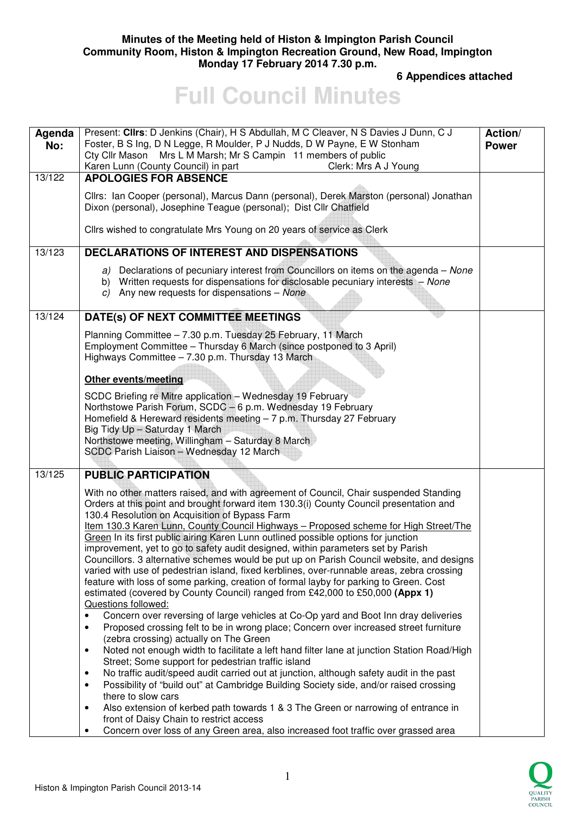### **Minutes of the Meeting held of Histon & Impington Parish Council Community Room, Histon & Impington Recreation Ground, New Road, Impington Monday 17 February 2014 7.30 p.m.**

 **6 Appendices attached** 

# **Full Council Minutes**

| Agenda<br>No: | Present: Clirs: D Jenkins (Chair), H S Abdullah, M C Cleaver, N S Davies J Dunn, C J<br>Foster, B S Ing, D N Legge, R Moulder, P J Nudds, D W Payne, E W Stonham<br>Cty Cllr Mason Mrs L M Marsh; Mr S Campin 11 members of public<br>Karen Lunn (County Council) in part<br>Clerk: Mrs A J Young                                                                                                                                                                                                                                                                                                                                                                                                                                                                                                                                                                                                                                                                                                                                                                                                                                                                                                                                                                                                                                                                                                                                                                                                                                                                                                                                                                                                     | Action/<br><b>Power</b> |
|---------------|-------------------------------------------------------------------------------------------------------------------------------------------------------------------------------------------------------------------------------------------------------------------------------------------------------------------------------------------------------------------------------------------------------------------------------------------------------------------------------------------------------------------------------------------------------------------------------------------------------------------------------------------------------------------------------------------------------------------------------------------------------------------------------------------------------------------------------------------------------------------------------------------------------------------------------------------------------------------------------------------------------------------------------------------------------------------------------------------------------------------------------------------------------------------------------------------------------------------------------------------------------------------------------------------------------------------------------------------------------------------------------------------------------------------------------------------------------------------------------------------------------------------------------------------------------------------------------------------------------------------------------------------------------------------------------------------------------|-------------------------|
| 13/122        | <b>APOLOGIES FOR ABSENCE</b>                                                                                                                                                                                                                                                                                                                                                                                                                                                                                                                                                                                                                                                                                                                                                                                                                                                                                                                                                                                                                                                                                                                                                                                                                                                                                                                                                                                                                                                                                                                                                                                                                                                                          |                         |
|               | Cllrs: Ian Cooper (personal), Marcus Dann (personal), Derek Marston (personal) Jonathan<br>Dixon (personal), Josephine Teague (personal); Dist Cllr Chatfield                                                                                                                                                                                                                                                                                                                                                                                                                                                                                                                                                                                                                                                                                                                                                                                                                                                                                                                                                                                                                                                                                                                                                                                                                                                                                                                                                                                                                                                                                                                                         |                         |
|               | Cllrs wished to congratulate Mrs Young on 20 years of service as Clerk                                                                                                                                                                                                                                                                                                                                                                                                                                                                                                                                                                                                                                                                                                                                                                                                                                                                                                                                                                                                                                                                                                                                                                                                                                                                                                                                                                                                                                                                                                                                                                                                                                |                         |
| 13/123        | <b>DECLARATIONS OF INTEREST AND DISPENSATIONS</b>                                                                                                                                                                                                                                                                                                                                                                                                                                                                                                                                                                                                                                                                                                                                                                                                                                                                                                                                                                                                                                                                                                                                                                                                                                                                                                                                                                                                                                                                                                                                                                                                                                                     |                         |
|               | a) Declarations of pecuniary interest from Councillors on items on the agenda – None<br>b) Written requests for dispensations for disclosable pecuniary interests - None<br>c) Any new requests for dispensations $-$ None                                                                                                                                                                                                                                                                                                                                                                                                                                                                                                                                                                                                                                                                                                                                                                                                                                                                                                                                                                                                                                                                                                                                                                                                                                                                                                                                                                                                                                                                            |                         |
| 13/124        | DATE(s) OF NEXT COMMITTEE MEETINGS                                                                                                                                                                                                                                                                                                                                                                                                                                                                                                                                                                                                                                                                                                                                                                                                                                                                                                                                                                                                                                                                                                                                                                                                                                                                                                                                                                                                                                                                                                                                                                                                                                                                    |                         |
|               | Planning Committee - 7.30 p.m. Tuesday 25 February, 11 March<br>Employment Committee - Thursday 6 March (since postponed to 3 April)<br>Highways Committee - 7.30 p.m. Thursday 13 March                                                                                                                                                                                                                                                                                                                                                                                                                                                                                                                                                                                                                                                                                                                                                                                                                                                                                                                                                                                                                                                                                                                                                                                                                                                                                                                                                                                                                                                                                                              |                         |
|               | <b>Other events/meeting</b>                                                                                                                                                                                                                                                                                                                                                                                                                                                                                                                                                                                                                                                                                                                                                                                                                                                                                                                                                                                                                                                                                                                                                                                                                                                                                                                                                                                                                                                                                                                                                                                                                                                                           |                         |
|               | SCDC Briefing re Mitre application - Wednesday 19 February<br>Northstowe Parish Forum, SCDC - 6 p.m. Wednesday 19 February<br>Homefield & Hereward residents meeting - 7 p.m. Thursday 27 February<br>Big Tidy Up - Saturday 1 March<br>Northstowe meeting, Willingham - Saturday 8 March<br>SCDC Parish Liaison - Wednesday 12 March                                                                                                                                                                                                                                                                                                                                                                                                                                                                                                                                                                                                                                                                                                                                                                                                                                                                                                                                                                                                                                                                                                                                                                                                                                                                                                                                                                 |                         |
| 13/125        | <b>PUBLIC PARTICIPATION</b>                                                                                                                                                                                                                                                                                                                                                                                                                                                                                                                                                                                                                                                                                                                                                                                                                                                                                                                                                                                                                                                                                                                                                                                                                                                                                                                                                                                                                                                                                                                                                                                                                                                                           |                         |
|               | With no other matters raised, and with agreement of Council, Chair suspended Standing<br>Orders at this point and brought forward item 130.3(i) County Council presentation and<br>130.4 Resolution on Acquisition of Bypass Farm<br>Item 130.3 Karen Lunn, County Council Highways - Proposed scheme for High Street/The<br>Green In its first public airing Karen Lunn outlined possible options for junction<br>improvement, yet to go to safety audit designed, within parameters set by Parish<br>Councillors. 3 alternative schemes would be put up on Parish Council website, and designs<br>varied with use of pedestrian island, fixed kerblines, over-runnable areas, zebra crossing<br>feature with loss of some parking, creation of formal layby for parking to Green. Cost<br>estimated (covered by County Council) ranged from £42,000 to £50,000 (Appx 1)<br>Questions followed:<br>Concern over reversing of large vehicles at Co-Op yard and Boot Inn dray deliveries<br>$\bullet$<br>Proposed crossing felt to be in wrong place; Concern over increased street furniture<br>$\bullet$<br>(zebra crossing) actually on The Green<br>Noted not enough width to facilitate a left hand filter lane at junction Station Road/High<br>$\bullet$<br>Street; Some support for pedestrian traffic island<br>No traffic audit/speed audit carried out at junction, although safety audit in the past<br>$\bullet$<br>Possibility of "build out" at Cambridge Building Society side, and/or raised crossing<br>$\bullet$<br>there to slow cars<br>Also extension of kerbed path towards 1 & 3 The Green or narrowing of entrance in<br>$\bullet$<br>front of Daisy Chain to restrict access |                         |
|               | Concern over loss of any Green area, also increased foot traffic over grassed area<br>$\bullet$                                                                                                                                                                                                                                                                                                                                                                                                                                                                                                                                                                                                                                                                                                                                                                                                                                                                                                                                                                                                                                                                                                                                                                                                                                                                                                                                                                                                                                                                                                                                                                                                       |                         |

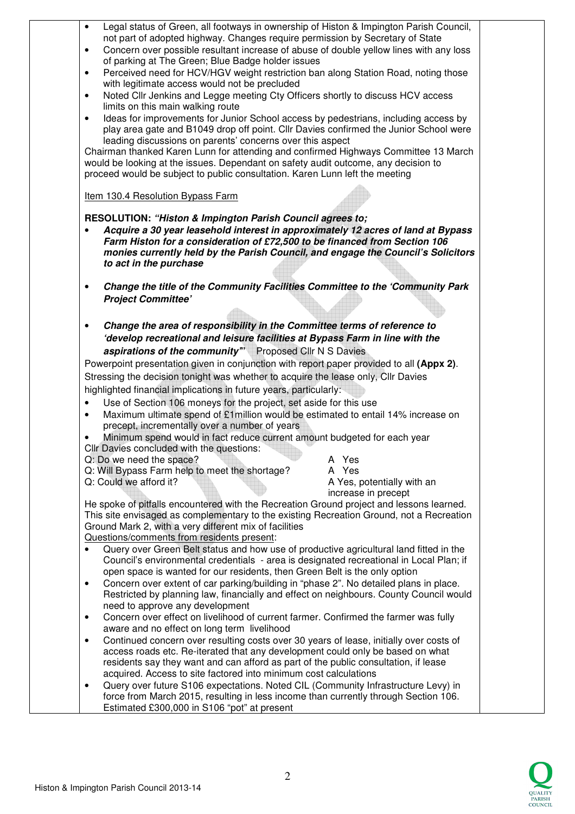| $\bullet$ | Legal status of Green, all footways in ownership of Histon & Impington Parish Council,                                                                                  |
|-----------|-------------------------------------------------------------------------------------------------------------------------------------------------------------------------|
| $\bullet$ | not part of adopted highway. Changes require permission by Secretary of State<br>Concern over possible resultant increase of abuse of double yellow lines with any loss |
|           | of parking at The Green; Blue Badge holder issues                                                                                                                       |
| $\bullet$ | Perceived need for HCV/HGV weight restriction ban along Station Road, noting those                                                                                      |
|           | with legitimate access would not be precluded                                                                                                                           |
| $\bullet$ | Noted Cllr Jenkins and Legge meeting Cty Officers shortly to discuss HCV access                                                                                         |
|           | limits on this main walking route                                                                                                                                       |
| $\bullet$ | Ideas for improvements for Junior School access by pedestrians, including access by                                                                                     |
|           | play area gate and B1049 drop off point. Cllr Davies confirmed the Junior School were                                                                                   |
|           | leading discussions on parents' concerns over this aspect<br>Chairman thanked Karen Lunn for attending and confirmed Highways Committee 13 March                        |
|           | would be looking at the issues. Dependant on safety audit outcome, any decision to                                                                                      |
|           | proceed would be subject to public consultation. Karen Lunn left the meeting                                                                                            |
|           |                                                                                                                                                                         |
|           | Item 130.4 Resolution Bypass Farm                                                                                                                                       |
|           | RESOLUTION: "Histon & Impington Parish Council agrees to;                                                                                                               |
|           | Acquire a 30 year leasehold interest in approximately 12 acres of land at Bypass                                                                                        |
|           | Farm Histon for a consideration of £72,500 to be financed from Section 106                                                                                              |
|           | monies currently held by the Parish Council, and engage the Council's Solicitors<br>to act in the purchase                                                              |
|           |                                                                                                                                                                         |
| $\bullet$ | Change the title of the Community Facilities Committee to the 'Community Park                                                                                           |
|           | <b>Project Committee'</b>                                                                                                                                               |
|           |                                                                                                                                                                         |
| $\bullet$ | Change the area of responsibility in the Committee terms of reference to                                                                                                |
|           | 'develop recreational and leisure facilities at Bypass Farm in line with the                                                                                            |
|           | aspirations of the community" Proposed Cllr N S Davies                                                                                                                  |
|           | Powerpoint presentation given in conjunction with report paper provided to all (Appx 2).                                                                                |
|           | Stressing the decision tonight was whether to acquire the lease only, Cllr Davies                                                                                       |
|           | highlighted financial implications in future years, particularly:                                                                                                       |
| $\bullet$ | Use of Section 106 moneys for the project, set aside for this use                                                                                                       |
| $\bullet$ | Maximum ultimate spend of £1 million would be estimated to entail 14% increase on                                                                                       |
|           | precept, incrementally over a number of years                                                                                                                           |
| $\bullet$ | Minimum spend would in fact reduce current amount budgeted for each year                                                                                                |
|           | Cllr Davies concluded with the questions:<br>Q: Do we need the space?<br>A Yes                                                                                          |
|           | Q: Will Bypass Farm help to meet the shortage?<br>A Yes                                                                                                                 |
|           | A Yes, potentially with an<br>Q: Could we afford it?                                                                                                                    |
|           | increase in precept                                                                                                                                                     |
|           | He spoke of pitfalls encountered with the Recreation Ground project and lessons learned.                                                                                |
|           | This site envisaged as complementary to the existing Recreation Ground, not a Recreation                                                                                |
|           | Ground Mark 2, with a very different mix of facilities                                                                                                                  |
| $\bullet$ | Questions/comments from residents present:<br>Query over Green Belt status and how use of productive agricultural land fitted in the                                    |
|           | Council's environmental credentials - area is designated recreational in Local Plan; if                                                                                 |
|           | open space is wanted for our residents, then Green Belt is the only option                                                                                              |
| $\bullet$ | Concern over extent of car parking/building in "phase 2". No detailed plans in place.                                                                                   |
|           | Restricted by planning law, financially and effect on neighbours. County Council would                                                                                  |
|           | need to approve any development                                                                                                                                         |
| $\bullet$ | Concern over effect on livelihood of current farmer. Confirmed the farmer was fully                                                                                     |
|           | aware and no effect on long term livelihood                                                                                                                             |
| $\bullet$ | Continued concern over resulting costs over 30 years of lease, initially over costs of                                                                                  |
|           | access roads etc. Re-iterated that any development could only be based on what                                                                                          |
|           | residents say they want and can afford as part of the public consultation, if lease<br>acquired. Access to site factored into minimum cost calculations                 |
| $\bullet$ | Query over future S106 expectations. Noted CIL (Community Infrastructure Levy) in                                                                                       |
|           | force from March 2015, resulting in less income than currently through Section 106.                                                                                     |
|           |                                                                                                                                                                         |

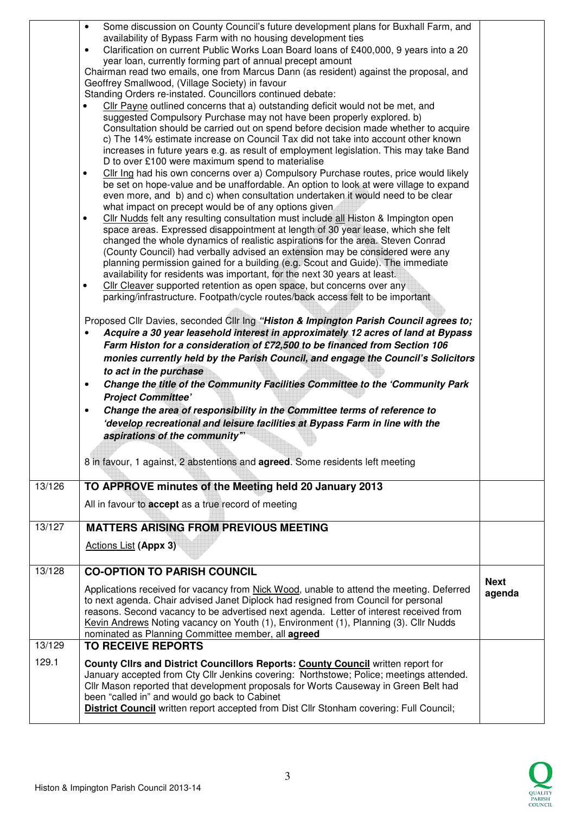|        | Some discussion on County Council's future development plans for Buxhall Farm, and<br>$\bullet$<br>availability of Bypass Farm with no housing development ties<br>Clarification on current Public Works Loan Board loans of £400,000, 9 years into a 20<br>$\bullet$<br>year loan, currently forming part of annual precept amount<br>Chairman read two emails, one from Marcus Dann (as resident) against the proposal, and<br>Geoffrey Smallwood, (Village Society) in favour<br>Standing Orders re-instated. Councillors continued debate:<br>Cllr Payne outlined concerns that a) outstanding deficit would not be met, and<br>suggested Compulsory Purchase may not have been properly explored. b)<br>Consultation should be carried out on spend before decision made whether to acquire<br>c) The 14% estimate increase on Council Tax did not take into account other known<br>increases in future years e.g. as result of employment legislation. This may take Band<br>D to over £100 were maximum spend to materialise<br>Cllr Ing had his own concerns over a) Compulsory Purchase routes, price would likely<br>$\bullet$<br>be set on hope-value and be unaffordable. An option to look at were village to expand<br>even more, and b) and c) when consultation undertaken it would need to be clear<br>what impact on precept would be of any options given<br>CIIr Nudds felt any resulting consultation must include all Histon & Impington open<br>space areas. Expressed disappointment at length of 30 year lease, which she felt<br>changed the whole dynamics of realistic aspirations for the area. Steven Conrad<br>(County Council) had verbally advised an extension may be considered were any<br>planning permission gained for a building (e.g. Scout and Guide). The immediate<br>availability for residents was important, for the next 30 years at least.<br>Cllr Cleaver supported retention as open space, but concerns over any<br>parking/infrastructure. Footpath/cycle routes/back access felt to be important<br>Proposed Cllr Davies, seconded Cllr Ing "Histon & Impington Parish Council agrees to;<br>Acquire a 30 year leasehold interest in approximately 12 acres of land at Bypass<br>Farm Histon for a consideration of £72,500 to be financed from Section 106<br>monies currently held by the Parish Council, and engage the Council's Solicitors<br>to act in the purchase<br>Change the title of the Community Facilities Committee to the 'Community Park<br>$\bullet$<br><b>Project Committee'</b><br>Change the area of responsibility in the Committee terms of reference to<br>$\bullet$<br>'develop recreational and leisure facilities at Bypass Farm in line with the<br>aspirations of the community"<br>8 in favour, 1 against, 2 abstentions and <b>agreed</b> . Some residents left meeting |             |
|--------|---------------------------------------------------------------------------------------------------------------------------------------------------------------------------------------------------------------------------------------------------------------------------------------------------------------------------------------------------------------------------------------------------------------------------------------------------------------------------------------------------------------------------------------------------------------------------------------------------------------------------------------------------------------------------------------------------------------------------------------------------------------------------------------------------------------------------------------------------------------------------------------------------------------------------------------------------------------------------------------------------------------------------------------------------------------------------------------------------------------------------------------------------------------------------------------------------------------------------------------------------------------------------------------------------------------------------------------------------------------------------------------------------------------------------------------------------------------------------------------------------------------------------------------------------------------------------------------------------------------------------------------------------------------------------------------------------------------------------------------------------------------------------------------------------------------------------------------------------------------------------------------------------------------------------------------------------------------------------------------------------------------------------------------------------------------------------------------------------------------------------------------------------------------------------------------------------------------------------------------------------------------------------------------------------------------------------------------------------------------------------------------------------------------------------------------------------------------------------------------------------------------------------------------------------------------------------------------------------------------------------------------------------------------------------------------------------------------------------------------------------------------------------------------------------------------------------------------------------------------|-------------|
| 13/126 | TO APPROVE minutes of the Meeting held 20 January 2013                                                                                                                                                                                                                                                                                                                                                                                                                                                                                                                                                                                                                                                                                                                                                                                                                                                                                                                                                                                                                                                                                                                                                                                                                                                                                                                                                                                                                                                                                                                                                                                                                                                                                                                                                                                                                                                                                                                                                                                                                                                                                                                                                                                                                                                                                                                                                                                                                                                                                                                                                                                                                                                                                                                                                                                                        |             |
|        | All in favour to <b>accept</b> as a true record of meeting                                                                                                                                                                                                                                                                                                                                                                                                                                                                                                                                                                                                                                                                                                                                                                                                                                                                                                                                                                                                                                                                                                                                                                                                                                                                                                                                                                                                                                                                                                                                                                                                                                                                                                                                                                                                                                                                                                                                                                                                                                                                                                                                                                                                                                                                                                                                                                                                                                                                                                                                                                                                                                                                                                                                                                                                    |             |
| 13/127 | <b>MATTERS ARISING FROM PREVIOUS MEETING</b>                                                                                                                                                                                                                                                                                                                                                                                                                                                                                                                                                                                                                                                                                                                                                                                                                                                                                                                                                                                                                                                                                                                                                                                                                                                                                                                                                                                                                                                                                                                                                                                                                                                                                                                                                                                                                                                                                                                                                                                                                                                                                                                                                                                                                                                                                                                                                                                                                                                                                                                                                                                                                                                                                                                                                                                                                  |             |
|        | <b>Actions List (Appx 3)</b>                                                                                                                                                                                                                                                                                                                                                                                                                                                                                                                                                                                                                                                                                                                                                                                                                                                                                                                                                                                                                                                                                                                                                                                                                                                                                                                                                                                                                                                                                                                                                                                                                                                                                                                                                                                                                                                                                                                                                                                                                                                                                                                                                                                                                                                                                                                                                                                                                                                                                                                                                                                                                                                                                                                                                                                                                                  |             |
| 13/128 | <b>CO-OPTION TO PARISH COUNCIL</b>                                                                                                                                                                                                                                                                                                                                                                                                                                                                                                                                                                                                                                                                                                                                                                                                                                                                                                                                                                                                                                                                                                                                                                                                                                                                                                                                                                                                                                                                                                                                                                                                                                                                                                                                                                                                                                                                                                                                                                                                                                                                                                                                                                                                                                                                                                                                                                                                                                                                                                                                                                                                                                                                                                                                                                                                                            | <b>Next</b> |
|        | Applications received for vacancy from Nick Wood, unable to attend the meeting. Deferred<br>to next agenda. Chair advised Janet Diplock had resigned from Council for personal<br>reasons. Second vacancy to be advertised next agenda. Letter of interest received from<br>Kevin Andrews Noting vacancy on Youth (1), Environment (1), Planning (3). Cllr Nudds<br>nominated as Planning Committee member, all agreed                                                                                                                                                                                                                                                                                                                                                                                                                                                                                                                                                                                                                                                                                                                                                                                                                                                                                                                                                                                                                                                                                                                                                                                                                                                                                                                                                                                                                                                                                                                                                                                                                                                                                                                                                                                                                                                                                                                                                                                                                                                                                                                                                                                                                                                                                                                                                                                                                                        | agenda      |
| 13/129 | <b>TO RECEIVE REPORTS</b>                                                                                                                                                                                                                                                                                                                                                                                                                                                                                                                                                                                                                                                                                                                                                                                                                                                                                                                                                                                                                                                                                                                                                                                                                                                                                                                                                                                                                                                                                                                                                                                                                                                                                                                                                                                                                                                                                                                                                                                                                                                                                                                                                                                                                                                                                                                                                                                                                                                                                                                                                                                                                                                                                                                                                                                                                                     |             |
| 129.1  | County Clirs and District Councillors Reports: County Council written report for<br>January accepted from Cty Cllr Jenkins covering: Northstowe; Police; meetings attended.<br>Cllr Mason reported that development proposals for Worts Causeway in Green Belt had<br>been "called in" and would go back to Cabinet<br>District Council written report accepted from Dist Cllr Stonham covering: Full Council;                                                                                                                                                                                                                                                                                                                                                                                                                                                                                                                                                                                                                                                                                                                                                                                                                                                                                                                                                                                                                                                                                                                                                                                                                                                                                                                                                                                                                                                                                                                                                                                                                                                                                                                                                                                                                                                                                                                                                                                                                                                                                                                                                                                                                                                                                                                                                                                                                                                |             |

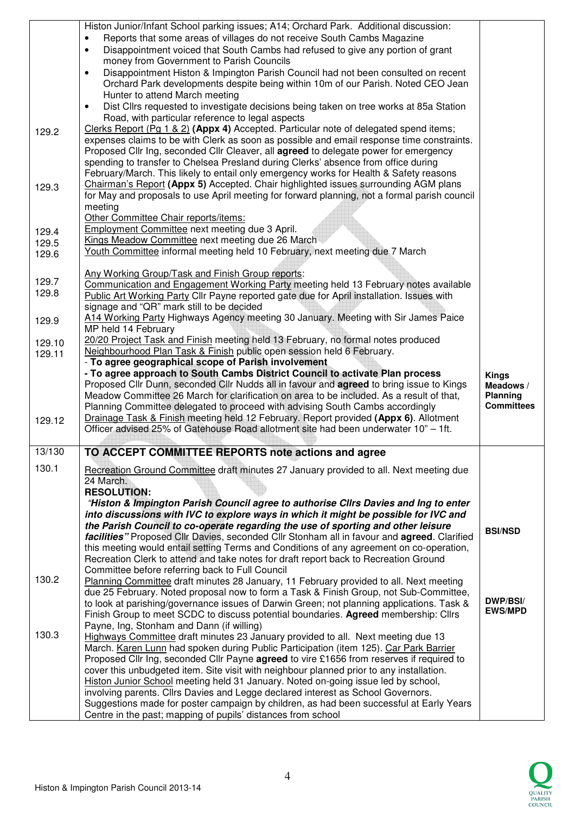|                | Histon Junior/Infant School parking issues; A14; Orchard Park. Additional discussion:<br>Reports that some areas of villages do not receive South Cambs Magazine                        |                              |
|----------------|-----------------------------------------------------------------------------------------------------------------------------------------------------------------------------------------|------------------------------|
|                | Disappointment voiced that South Cambs had refused to give any portion of grant<br>$\bullet$                                                                                            |                              |
|                | money from Government to Parish Councils<br>Disappointment Histon & Impington Parish Council had not been consulted on recent<br>$\bullet$                                              |                              |
|                | Orchard Park developments despite being within 10m of our Parish. Noted CEO Jean                                                                                                        |                              |
|                | Hunter to attend March meeting                                                                                                                                                          |                              |
|                | Dist Cllrs requested to investigate decisions being taken on tree works at 85a Station<br>$\bullet$<br>Road, with particular reference to legal aspects                                 |                              |
| 129.2          | Clerks Report (Pq $1 \& 2$ ) (Appx 4) Accepted. Particular note of delegated spend items;                                                                                               |                              |
|                | expenses claims to be with Clerk as soon as possible and email response time constraints.                                                                                               |                              |
|                | Proposed Cllr Ing, seconded Cllr Cleaver, all <b>agreed</b> to delegate power for emergency                                                                                             |                              |
|                | spending to transfer to Chelsea Presland during Clerks' absence from office during<br>February/March. This likely to entail only emergency works for Health & Safety reasons            |                              |
| 129.3          | Chairman's Report (Appx 5) Accepted. Chair highlighted issues surrounding AGM plans                                                                                                     |                              |
|                | for May and proposals to use April meeting for forward planning, not a formal parish council                                                                                            |                              |
|                | meeting<br>Other Committee Chair reports/items:                                                                                                                                         |                              |
| 129.4          | Employment Committee next meeting due 3 April.                                                                                                                                          |                              |
| 129.5          | Kings Meadow Committee next meeting due 26 March                                                                                                                                        |                              |
| 129.6          | Youth Committee informal meeting held 10 February, next meeting due 7 March                                                                                                             |                              |
|                | Any Working Group/Task and Finish Group reports:                                                                                                                                        |                              |
| 129.7<br>129.8 | Communication and Engagement Working Party meeting held 13 February notes available                                                                                                     |                              |
|                | Public Art Working Party Cllr Payne reported gate due for April installation. Issues with<br>signage and "QR" mark still to be decided                                                  |                              |
| 129.9          | A14 Working Party Highways Agency meeting 30 January. Meeting with Sir James Paice                                                                                                      |                              |
|                | MP held 14 February                                                                                                                                                                     |                              |
| 129.10         | 20/20 Project Task and Finish meeting held 13 February, no formal notes produced<br>Neighbourhood Plan Task & Finish public open session held 6 February.                               |                              |
| 129.11         | - To agree geographical scope of Parish involvement                                                                                                                                     |                              |
|                | - To agree approach to South Cambs District Council to activate Plan process                                                                                                            | <b>Kings</b>                 |
|                | Proposed Cllr Dunn, seconded Cllr Nudds all in favour and agreed to bring issue to Kings<br>Meadow Committee 26 March for clarification on area to be included. As a result of that,    | Meadows /<br><b>Planning</b> |
|                | Planning Committee delegated to proceed with advising South Cambs accordingly                                                                                                           | <b>Committees</b>            |
| 129.12         | Drainage Task & Finish meeting held 12 February. Report provided (Appx 6). Allotment                                                                                                    |                              |
|                | Officer advised 25% of Gatehouse Road allotment site had been underwater 10" - 1ft.                                                                                                     |                              |
| 13/130         | TO ACCEPT COMMITTEE REPORTS note actions and agree                                                                                                                                      |                              |
| 130.1          |                                                                                                                                                                                         |                              |
|                | Recreation Ground Committee draft minutes 27 January provided to all. Next meeting due                                                                                                  |                              |
|                | 24 March.                                                                                                                                                                               |                              |
|                | <b>RESOLUTION:</b><br>"Histon & Impington Parish Council agree to authorise Cllrs Davies and Ing to enter                                                                               |                              |
|                | into discussions with IVC to explore ways in which it might be possible for IVC and                                                                                                     |                              |
|                | the Parish Council to co-operate regarding the use of sporting and other leisure                                                                                                        | <b>BSI/NSD</b>               |
|                | facilities" Proposed Cllr Davies, seconded Cllr Stonham all in favour and agreed. Clarified<br>this meeting would entail setting Terms and Conditions of any agreement on co-operation, |                              |
|                | Recreation Clerk to attend and take notes for draft report back to Recreation Ground                                                                                                    |                              |
| 130.2          | Committee before referring back to Full Council                                                                                                                                         |                              |
|                | Planning Committee draft minutes 28 January, 11 February provided to all. Next meeting<br>due 25 February. Noted proposal now to form a Task & Finish Group, not Sub-Committee,         |                              |
|                | to look at parishing/governance issues of Darwin Green; not planning applications. Task &                                                                                               | <b>DWP/BSI/</b>              |
|                | Finish Group to meet SCDC to discuss potential boundaries. Agreed membership: Cllrs                                                                                                     | <b>EWS/MPD</b>               |
| 130.3          | Payne, Ing, Stonham and Dann (if willing)<br>Highways Committee draft minutes 23 January provided to all. Next meeting due 13                                                           |                              |
|                | March. Karen Lunn had spoken during Public Participation (item 125). Car Park Barrier                                                                                                   |                              |
|                | Proposed Cllr Ing, seconded Cllr Payne agreed to vire £1656 from reserves if required to                                                                                                |                              |
|                | cover this unbudgeted item. Site visit with neighbour planned prior to any installation.<br>Histon Junior School meeting held 31 January. Noted on-going issue led by school,           |                              |
|                | involving parents. Cllrs Davies and Legge declared interest as School Governors.<br>Suggestions made for poster campaign by children, as had been successful at Early Years             |                              |

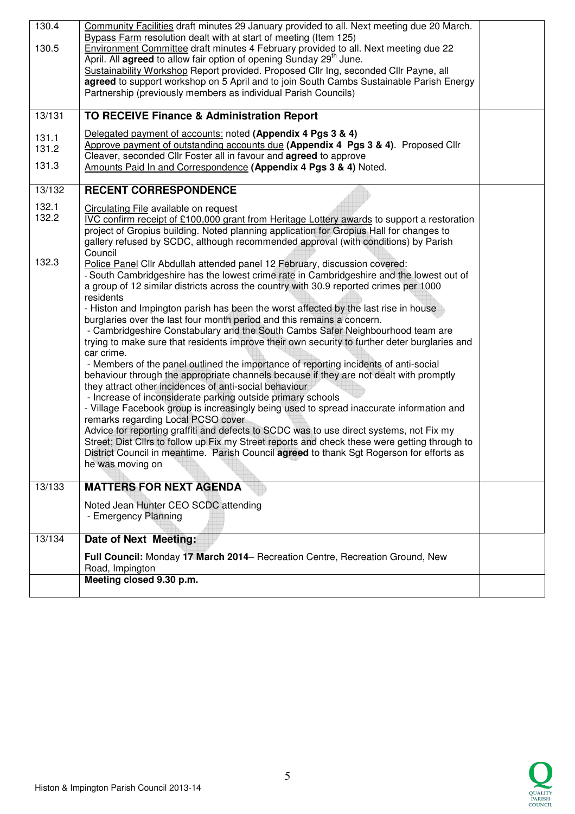| 130.4  | Community Facilities draft minutes 29 January provided to all. Next meeting due 20 March.                                     |  |
|--------|-------------------------------------------------------------------------------------------------------------------------------|--|
|        | Bypass Farm resolution dealt with at start of meeting (Item 125)                                                              |  |
| 130.5  | Environment Committee draft minutes 4 February provided to all. Next meeting due 22                                           |  |
|        | April. All agreed to allow fair option of opening Sunday 29 <sup>th</sup> June.                                               |  |
|        | Sustainability Workshop Report provided. Proposed Cllr Ing, seconded Cllr Payne, all                                          |  |
|        | agreed to support workshop on 5 April and to join South Cambs Sustainable Parish Energy                                       |  |
|        | Partnership (previously members as individual Parish Councils)                                                                |  |
| 13/131 | TO RECEIVE Finance & Administration Report                                                                                    |  |
| 131.1  | Delegated payment of accounts: noted (Appendix 4 Pgs 3 & 4)                                                                   |  |
| 131.2  | Approve payment of outstanding accounts due (Appendix 4 Pgs 3 & 4). Proposed Cllr                                             |  |
|        | Cleaver, seconded Cllr Foster all in favour and <b>agreed</b> to approve                                                      |  |
| 131.3  | Amounts Paid In and Correspondence (Appendix 4 Pgs 3 & 4) Noted.                                                              |  |
| 13/132 | <b>RECENT CORRESPONDENCE</b>                                                                                                  |  |
|        |                                                                                                                               |  |
| 132.1  | Circulating File available on request                                                                                         |  |
| 132.2  | IVC confirm receipt of £100,000 grant from Heritage Lottery awards to support a restoration                                   |  |
|        | project of Gropius building. Noted planning application for Gropius Hall for changes to                                       |  |
|        | gallery refused by SCDC, although recommended approval (with conditions) by Parish<br>Council                                 |  |
| 132.3  | Police Panel Cllr Abdullah attended panel 12 February, discussion covered:                                                    |  |
|        | - South Cambridgeshire has the lowest crime rate in Cambridgeshire and the lowest out of                                      |  |
|        | a group of 12 similar districts across the country with 30.9 reported crimes per 1000                                         |  |
|        | residents                                                                                                                     |  |
|        | - Histon and Impington parish has been the worst affected by the last rise in house                                           |  |
|        | burglaries over the last four month period and this remains a concern.                                                        |  |
|        | - Cambridgeshire Constabulary and the South Cambs Safer Neighbourhood team are                                                |  |
|        | trying to make sure that residents improve their own security to further deter burglaries and                                 |  |
|        | car crime.                                                                                                                    |  |
|        | - Members of the panel outlined the importance of reporting incidents of anti-social                                          |  |
|        | behaviour through the appropriate channels because if they are not dealt with promptly                                        |  |
|        | they attract other incidences of anti-social behaviour                                                                        |  |
|        | - Increase of inconsiderate parking outside primary schools                                                                   |  |
|        | - Village Facebook group is increasingly being used to spread inaccurate information and                                      |  |
|        | remarks regarding Local PCSO cover<br>Advice for reporting graffiti and defects to SCDC was to use direct systems, not Fix my |  |
|        | Street; Dist Cllrs to follow up Fix my Street reports and check these were getting through to                                 |  |
|        | District Council in meantime. Parish Council agreed to thank Sgt Rogerson for efforts as                                      |  |
|        | he was moving on                                                                                                              |  |
|        |                                                                                                                               |  |
| 13/133 | <b>MATTERS FOR NEXT AGENDA</b>                                                                                                |  |
|        | Noted Jean Hunter CEO SCDC attending                                                                                          |  |
|        | - Emergency Planning                                                                                                          |  |
|        |                                                                                                                               |  |
| 13/134 | Date of Next Meeting:                                                                                                         |  |
|        | Full Council: Monday 17 March 2014– Recreation Centre, Recreation Ground, New                                                 |  |
|        | Road, Impington                                                                                                               |  |
|        | Meeting closed 9.30 p.m.                                                                                                      |  |
|        |                                                                                                                               |  |